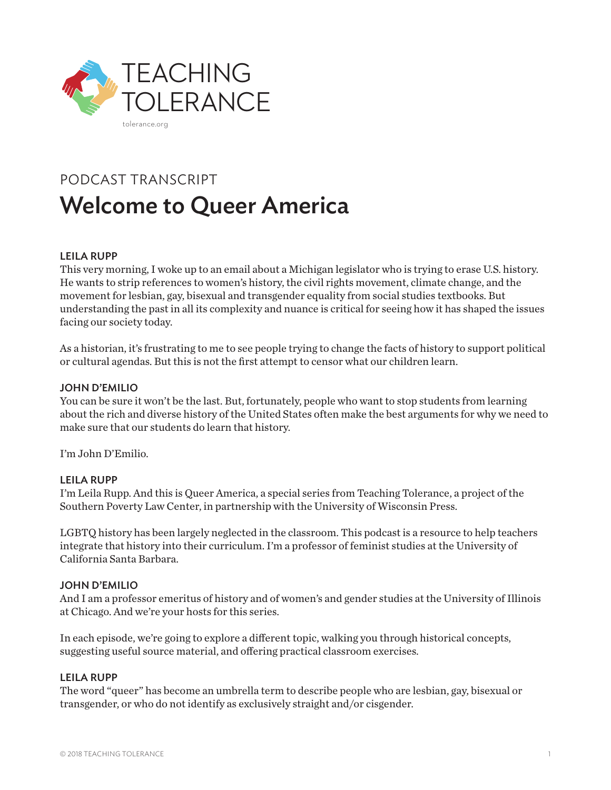

# PODCAST TRANSCRIPT Welcome to Queer America

## LEILA RUPP

This very morning, I woke up to an email about a Michigan legislator who is trying to erase U.S. history. He wants to strip references to women's history, the civil rights movement, climate change, and the movement for lesbian, gay, bisexual and transgender equality from social studies textbooks. But understanding the past in all its complexity and nuance is critical for seeing how it has shaped the issues facing our society today.

As a historian, it's frustrating to me to see people trying to change the facts of history to support political or cultural agendas. But this is not the first attempt to censor what our children learn.

#### JOHN D'EMILIO

You can be sure it won't be the last. But, fortunately, people who want to stop students from learning about the rich and diverse history of the United States often make the best arguments for why we need to make sure that our students do learn that history.

I'm John D'Emilio.

## LEILA RUPP

I'm Leila Rupp. And this is Queer America, a special series from Teaching Tolerance, a project of the Southern Poverty Law Center, in partnership with the University of Wisconsin Press.

LGBTQ history has been largely neglected in the classroom. This podcast is a resource to help teachers integrate that history into their curriculum. I'm a professor of feminist studies at the University of California Santa Barbara.

#### JOHN D'EMILIO

And I am a professor emeritus of history and of women's and gender studies at the University of Illinois at Chicago. And we're your hosts for this series.

In each episode, we're going to explore a different topic, walking you through historical concepts, suggesting useful source material, and offering practical classroom exercises.

#### LEILA RUPP

The word "queer" has become an umbrella term to describe people who are lesbian, gay, bisexual or transgender, or who do not identify as exclusively straight and/or cisgender.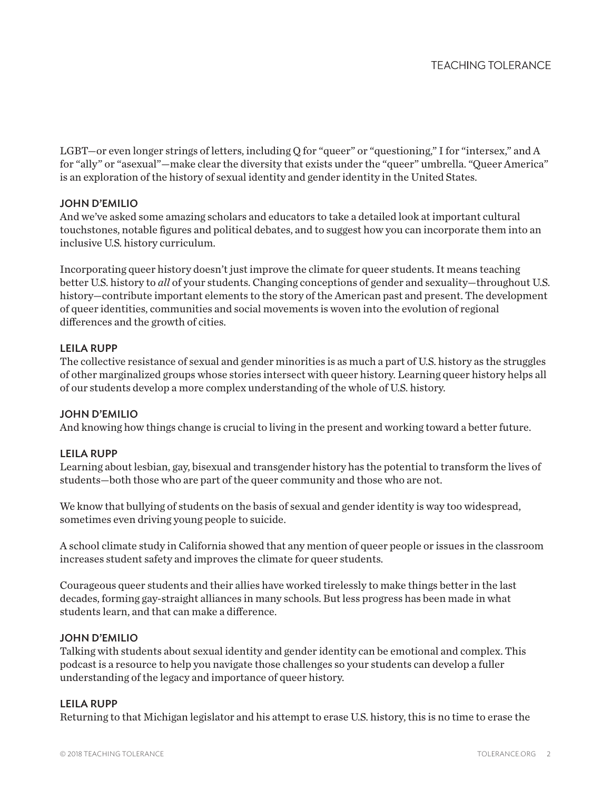LGBT—or even longer strings of letters, including Q for "queer" or "questioning," I for "intersex," and A for "ally" or "asexual"—make clear the diversity that exists under the "queer" umbrella. "Queer America" is an exploration of the history of sexual identity and gender identity in the United States.

# JOHN D'EMILIO

And we've asked some amazing scholars and educators to take a detailed look at important cultural touchstones, notable figures and political debates, and to suggest how you can incorporate them into an inclusive U.S. history curriculum.

Incorporating queer history doesn't just improve the climate for queer students. It means teaching better U.S. history to *all* of your students. Changing conceptions of gender and sexuality—throughout U.S. history—contribute important elements to the story of the American past and present. The development of queer identities, communities and social movements is woven into the evolution of regional differences and the growth of cities.

# LEILA RUPP

The collective resistance of sexual and gender minorities is as much a part of U.S. history as the struggles of other marginalized groups whose stories intersect with queer history. Learning queer history helps all of our students develop a more complex understanding of the whole of U.S. history.

## JOHN D'EMILIO

And knowing how things change is crucial to living in the present and working toward a better future.

## LEILA RUPP

Learning about lesbian, gay, bisexual and transgender history has the potential to transform the lives of students—both those who are part of the queer community and those who are not.

We know that bullying of students on the basis of sexual and gender identity is way too widespread, sometimes even driving young people to suicide.

A school climate study in California showed that any mention of queer people or issues in the classroom increases student safety and improves the climate for queer students.

Courageous queer students and their allies have worked tirelessly to make things better in the last decades, forming gay-straight alliances in many schools. But less progress has been made in what students learn, and that can make a difference.

## JOHN D'EMILIO

Talking with students about sexual identity and gender identity can be emotional and complex. This podcast is a resource to help you navigate those challenges so your students can develop a fuller understanding of the legacy and importance of queer history.

## LEILA RUPP

Returning to that Michigan legislator and his attempt to erase U.S. history, this is no time to erase the